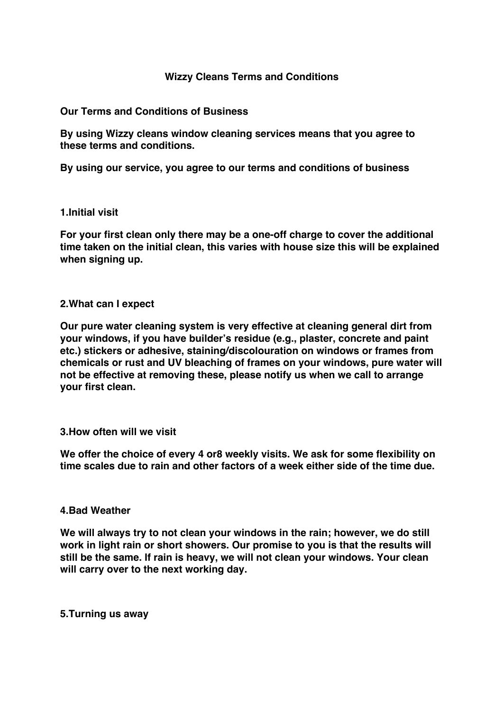# **Wizzy Cleans Terms and Conditions**

### **Our Terms and Conditions of Business**

**By using Wizzy cleans window cleaning services means that you agree to these terms and conditions.**

**By using our service, you agree to our terms and conditions of business**

#### **1.Initial visit**

**For your first clean only there may be a one-off charge to cover the additional time taken on the initial clean, this varies with house size this will be explained when signing up.**

#### **2.What can I expect**

**Our pure water cleaning system is very effective at cleaning general dirt from your windows, if you have builder's residue (e.g., plaster, concrete and paint etc.) stickers or adhesive, staining/discolouration on windows or frames from chemicals or rust and UV bleaching of frames on your windows, pure water will not be effective at removing these, please notify us when we call to arrange your first clean.**

## **3.How often will we visit**

**We offer the choice of every 4 or8 weekly visits. We ask for some flexibility on time scales due to rain and other factors of a week either side of the time due.**

#### **4.Bad Weather**

**We will always try to not clean your windows in the rain; however, we do still work in light rain or short showers. Our promise to you is that the results will still be the same. If rain is heavy, we will not clean your windows. Your clean will carry over to the next working day.**

### **5.Turning us away**